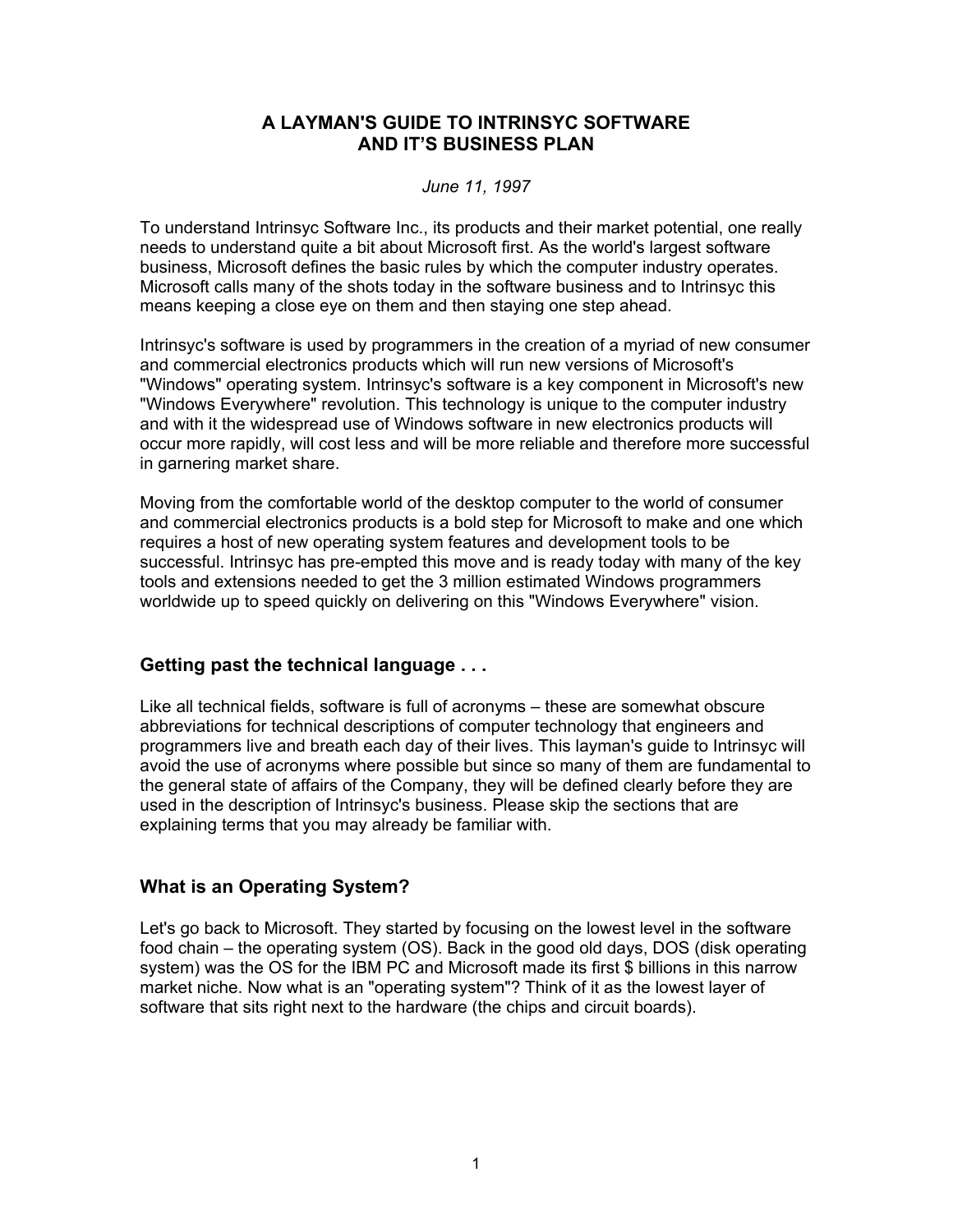# **A LAYMAN'S GUIDE TO INTRINSYC SOFTWARE AND IT'S BUSINESS PLAN**

#### *June 11, 1997*

To understand Intrinsyc Software Inc., its products and their market potential, one really needs to understand quite a bit about Microsoft first. As the world's largest software business, Microsoft defines the basic rules by which the computer industry operates. Microsoft calls many of the shots today in the software business and to Intrinsyc this means keeping a close eye on them and then staying one step ahead.

Intrinsyc's software is used by programmers in the creation of a myriad of new consumer and commercial electronics products which will run new versions of Microsoft's "Windows" operating system. Intrinsyc's software is a key component in Microsoft's new "Windows Everywhere" revolution. This technology is unique to the computer industry and with it the widespread use of Windows software in new electronics products will occur more rapidly, will cost less and will be more reliable and therefore more successful in garnering market share.

Moving from the comfortable world of the desktop computer to the world of consumer and commercial electronics products is a bold step for Microsoft to make and one which requires a host of new operating system features and development tools to be successful. Intrinsyc has pre-empted this move and is ready today with many of the key tools and extensions needed to get the 3 million estimated Windows programmers worldwide up to speed quickly on delivering on this "Windows Everywhere" vision.

#### **Getting past the technical language . . .**

Like all technical fields, software is full of acronyms – these are somewhat obscure abbreviations for technical descriptions of computer technology that engineers and programmers live and breath each day of their lives. This layman's guide to Intrinsyc will avoid the use of acronyms where possible but since so many of them are fundamental to the general state of affairs of the Company, they will be defined clearly before they are used in the description of Intrinsyc's business. Please skip the sections that are explaining terms that you may already be familiar with.

# **What is an Operating System?**

Let's go back to Microsoft. They started by focusing on the lowest level in the software food chain – the operating system (OS). Back in the good old days, DOS (disk operating system) was the OS for the IBM PC and Microsoft made its first \$ billions in this narrow market niche. Now what is an "operating system"? Think of it as the lowest layer of software that sits right next to the hardware (the chips and circuit boards).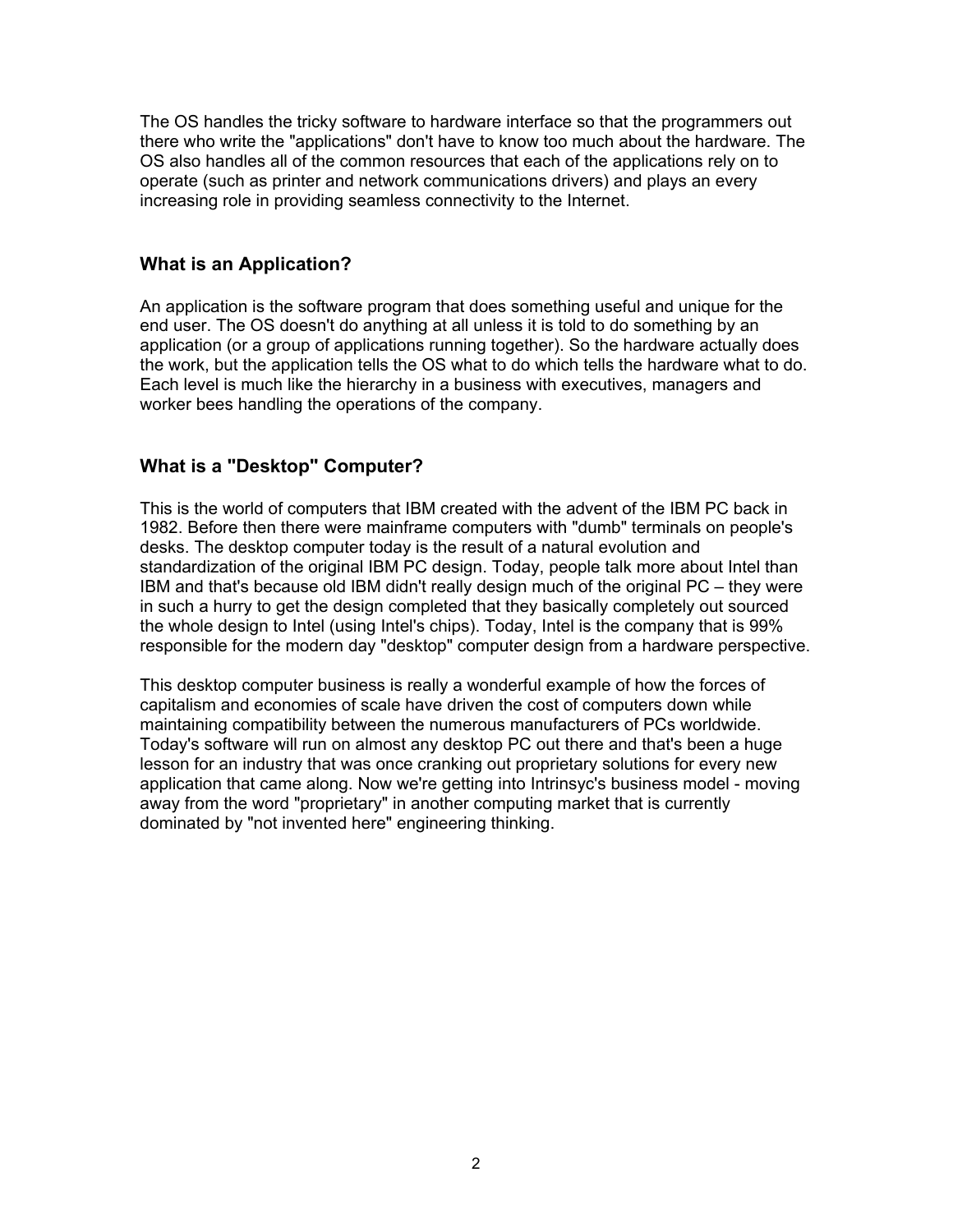The OS handles the tricky software to hardware interface so that the programmers out there who write the "applications" don't have to know too much about the hardware. The OS also handles all of the common resources that each of the applications rely on to operate (such as printer and network communications drivers) and plays an every increasing role in providing seamless connectivity to the Internet.

#### **What is an Application?**

An application is the software program that does something useful and unique for the end user. The OS doesn't do anything at all unless it is told to do something by an application (or a group of applications running together). So the hardware actually does the work, but the application tells the OS what to do which tells the hardware what to do. Each level is much like the hierarchy in a business with executives, managers and worker bees handling the operations of the company.

# **What is a "Desktop" Computer?**

This is the world of computers that IBM created with the advent of the IBM PC back in 1982. Before then there were mainframe computers with "dumb" terminals on people's desks. The desktop computer today is the result of a natural evolution and standardization of the original IBM PC design. Today, people talk more about Intel than IBM and that's because old IBM didn't really design much of the original PC – they were in such a hurry to get the design completed that they basically completely out sourced the whole design to Intel (using Intel's chips). Today, Intel is the company that is 99% responsible for the modern day "desktop" computer design from a hardware perspective.

This desktop computer business is really a wonderful example of how the forces of capitalism and economies of scale have driven the cost of computers down while maintaining compatibility between the numerous manufacturers of PCs worldwide. Today's software will run on almost any desktop PC out there and that's been a huge lesson for an industry that was once cranking out proprietary solutions for every new application that came along. Now we're getting into Intrinsyc's business model - moving away from the word "proprietary" in another computing market that is currently dominated by "not invented here" engineering thinking.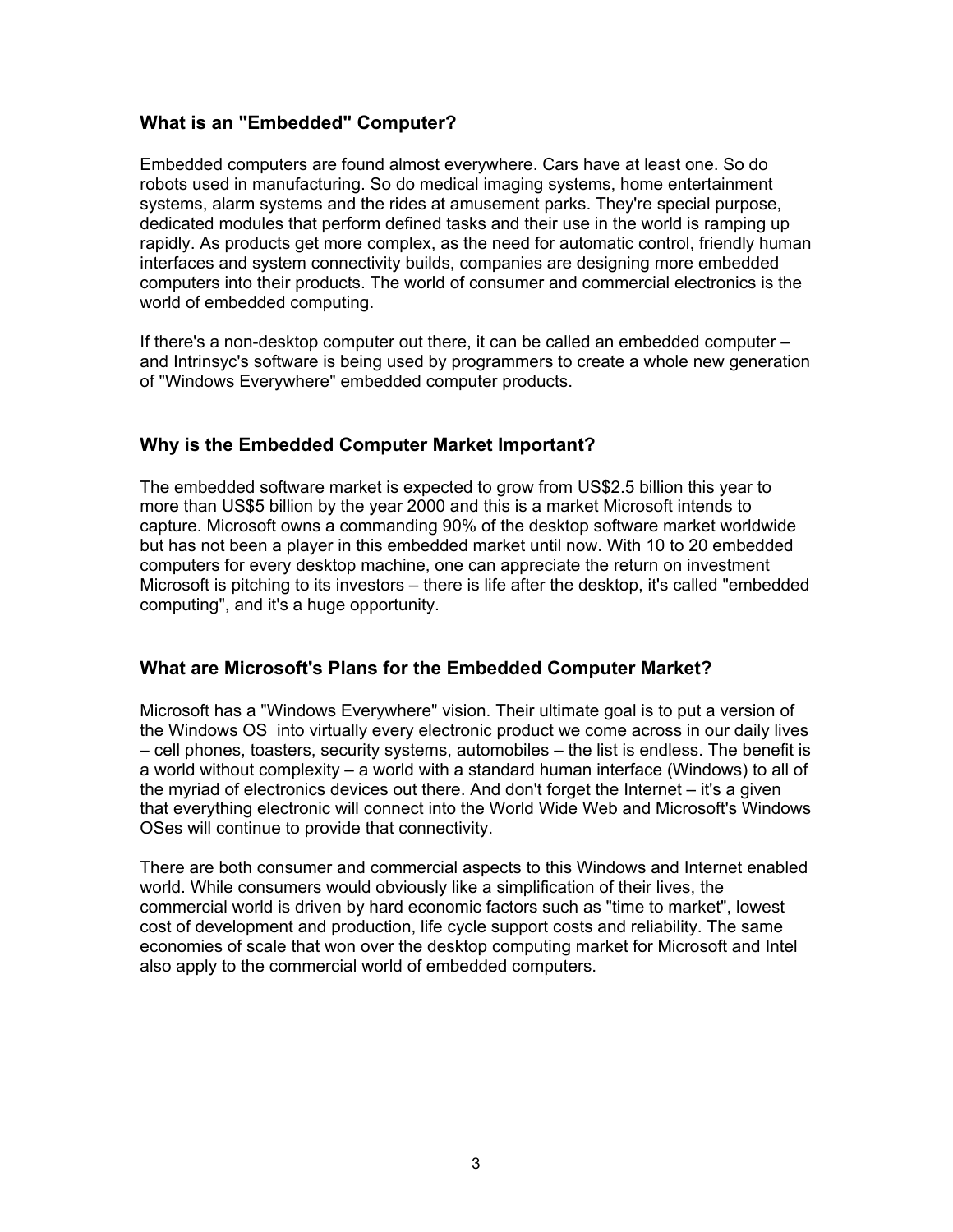# **What is an "Embedded" Computer?**

Embedded computers are found almost everywhere. Cars have at least one. So do robots used in manufacturing. So do medical imaging systems, home entertainment systems, alarm systems and the rides at amusement parks. They're special purpose, dedicated modules that perform defined tasks and their use in the world is ramping up rapidly. As products get more complex, as the need for automatic control, friendly human interfaces and system connectivity builds, companies are designing more embedded computers into their products. The world of consumer and commercial electronics is the world of embedded computing.

If there's a non-desktop computer out there, it can be called an embedded computer – and Intrinsyc's software is being used by programmers to create a whole new generation of "Windows Everywhere" embedded computer products.

# **Why is the Embedded Computer Market Important?**

The embedded software market is expected to grow from US\$2.5 billion this year to more than US\$5 billion by the year 2000 and this is a market Microsoft intends to capture. Microsoft owns a commanding 90% of the desktop software market worldwide but has not been a player in this embedded market until now. With 10 to 20 embedded computers for every desktop machine, one can appreciate the return on investment Microsoft is pitching to its investors – there is life after the desktop, it's called "embedded computing", and it's a huge opportunity.

# **What are Microsoft's Plans for the Embedded Computer Market?**

Microsoft has a "Windows Everywhere" vision. Their ultimate goal is to put a version of the Windows OS into virtually every electronic product we come across in our daily lives – cell phones, toasters, security systems, automobiles – the list is endless. The benefit is a world without complexity – a world with a standard human interface (Windows) to all of the myriad of electronics devices out there. And don't forget the Internet – it's a given that everything electronic will connect into the World Wide Web and Microsoft's Windows OSes will continue to provide that connectivity.

There are both consumer and commercial aspects to this Windows and Internet enabled world. While consumers would obviously like a simplification of their lives, the commercial world is driven by hard economic factors such as "time to market", lowest cost of development and production, life cycle support costs and reliability. The same economies of scale that won over the desktop computing market for Microsoft and Intel also apply to the commercial world of embedded computers.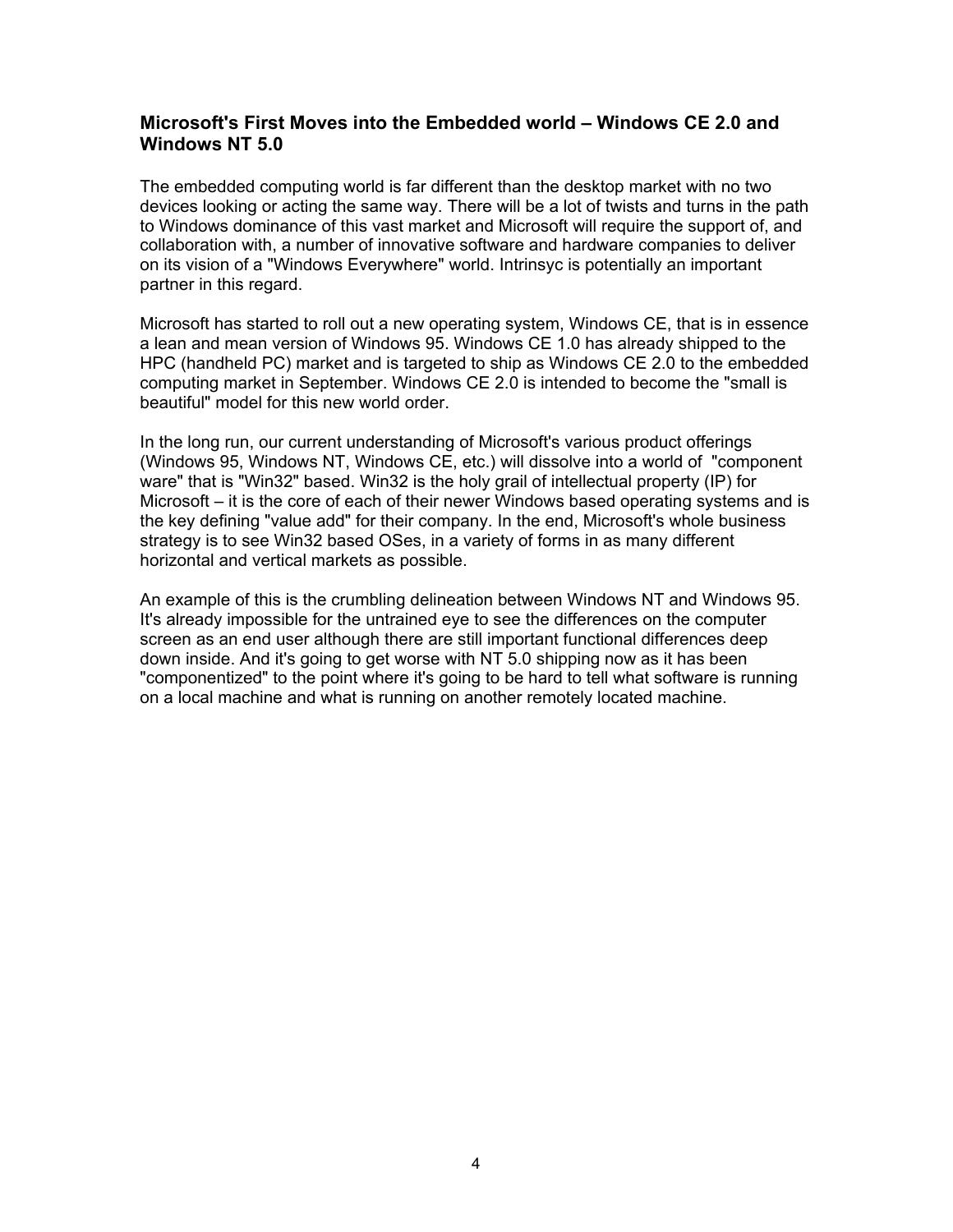#### **Microsoft's First Moves into the Embedded world – Windows CE 2.0 and Windows NT 5.0**

The embedded computing world is far different than the desktop market with no two devices looking or acting the same way. There will be a lot of twists and turns in the path to Windows dominance of this vast market and Microsoft will require the support of, and collaboration with, a number of innovative software and hardware companies to deliver on its vision of a "Windows Everywhere" world. Intrinsyc is potentially an important partner in this regard.

Microsoft has started to roll out a new operating system, Windows CE, that is in essence a lean and mean version of Windows 95. Windows CE 1.0 has already shipped to the HPC (handheld PC) market and is targeted to ship as Windows CE 2.0 to the embedded computing market in September. Windows CE 2.0 is intended to become the "small is beautiful" model for this new world order.

In the long run, our current understanding of Microsoft's various product offerings (Windows 95, Windows NT, Windows CE, etc.) will dissolve into a world of "component ware" that is "Win32" based. Win32 is the holy grail of intellectual property (IP) for Microsoft – it is the core of each of their newer Windows based operating systems and is the key defining "value add" for their company. In the end, Microsoft's whole business strategy is to see Win32 based OSes, in a variety of forms in as many different horizontal and vertical markets as possible.

An example of this is the crumbling delineation between Windows NT and Windows 95. It's already impossible for the untrained eye to see the differences on the computer screen as an end user although there are still important functional differences deep down inside. And it's going to get worse with NT 5.0 shipping now as it has been "componentized" to the point where it's going to be hard to tell what software is running on a local machine and what is running on another remotely located machine.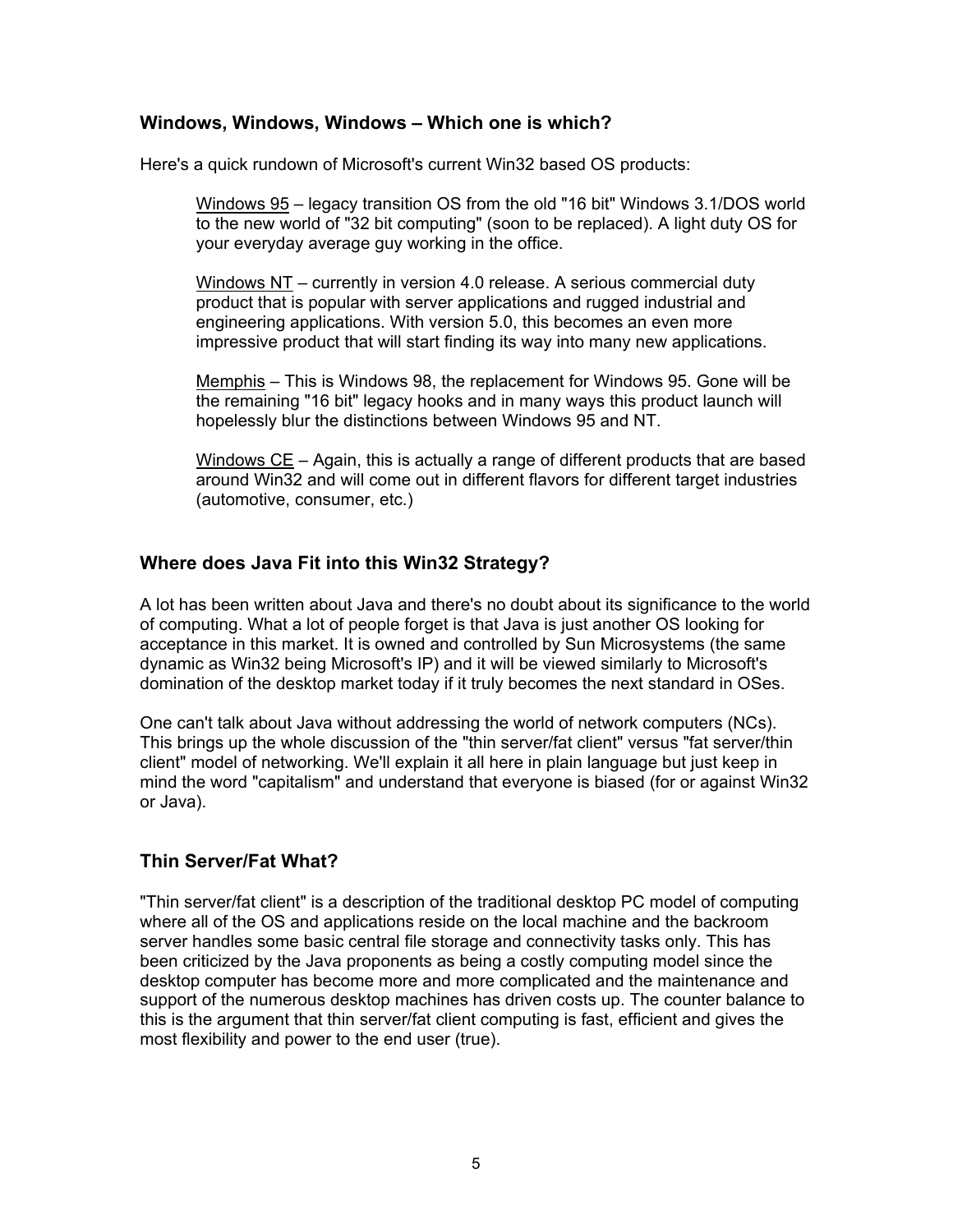#### **Windows, Windows, Windows – Which one is which?**

Here's a quick rundown of Microsoft's current Win32 based OS products:

Windows 95 – legacy transition OS from the old "16 bit" Windows 3.1/DOS world to the new world of "32 bit computing" (soon to be replaced). A light duty OS for your everyday average guy working in the office.

Windows NT – currently in version 4.0 release. A serious commercial duty product that is popular with server applications and rugged industrial and engineering applications. With version 5.0, this becomes an even more impressive product that will start finding its way into many new applications.

Memphis – This is Windows 98, the replacement for Windows 95. Gone will be the remaining "16 bit" legacy hooks and in many ways this product launch will hopelessly blur the distinctions between Windows 95 and NT.

Windows CE – Again, this is actually a range of different products that are based around Win32 and will come out in different flavors for different target industries (automotive, consumer, etc.)

# **Where does Java Fit into this Win32 Strategy?**

A lot has been written about Java and there's no doubt about its significance to the world of computing. What a lot of people forget is that Java is just another OS looking for acceptance in this market. It is owned and controlled by Sun Microsystems (the same dynamic as Win32 being Microsoft's IP) and it will be viewed similarly to Microsoft's domination of the desktop market today if it truly becomes the next standard in OSes.

One can't talk about Java without addressing the world of network computers (NCs). This brings up the whole discussion of the "thin server/fat client" versus "fat server/thin client" model of networking. We'll explain it all here in plain language but just keep in mind the word "capitalism" and understand that everyone is biased (for or against Win32 or Java).

# **Thin Server/Fat What?**

"Thin server/fat client" is a description of the traditional desktop PC model of computing where all of the OS and applications reside on the local machine and the backroom server handles some basic central file storage and connectivity tasks only. This has been criticized by the Java proponents as being a costly computing model since the desktop computer has become more and more complicated and the maintenance and support of the numerous desktop machines has driven costs up. The counter balance to this is the argument that thin server/fat client computing is fast, efficient and gives the most flexibility and power to the end user (true).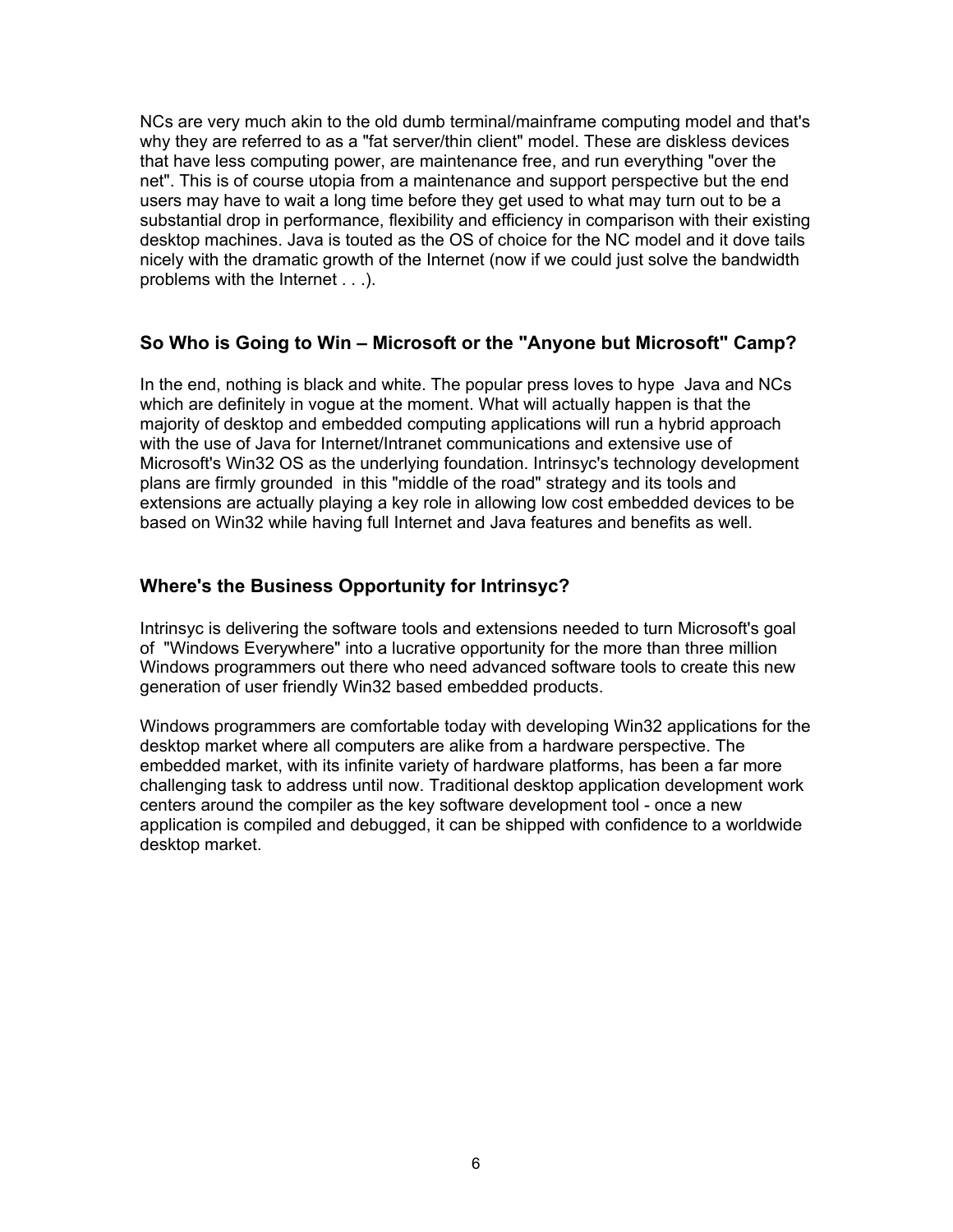NCs are very much akin to the old dumb terminal/mainframe computing model and that's why they are referred to as a "fat server/thin client" model. These are diskless devices that have less computing power, are maintenance free, and run everything "over the net". This is of course utopia from a maintenance and support perspective but the end users may have to wait a long time before they get used to what may turn out to be a substantial drop in performance, flexibility and efficiency in comparison with their existing desktop machines. Java is touted as the OS of choice for the NC model and it dove tails nicely with the dramatic growth of the Internet (now if we could just solve the bandwidth problems with the Internet . . .).

# **So Who is Going to Win – Microsoft or the "Anyone but Microsoft" Camp?**

In the end, nothing is black and white. The popular press loves to hype Java and NCs which are definitely in vogue at the moment. What will actually happen is that the majority of desktop and embedded computing applications will run a hybrid approach with the use of Java for Internet/Intranet communications and extensive use of Microsoft's Win32 OS as the underlying foundation. Intrinsyc's technology development plans are firmly grounded in this "middle of the road" strategy and its tools and extensions are actually playing a key role in allowing low cost embedded devices to be based on Win32 while having full Internet and Java features and benefits as well.

# **Where's the Business Opportunity for Intrinsyc?**

Intrinsyc is delivering the software tools and extensions needed to turn Microsoft's goal of "Windows Everywhere" into a lucrative opportunity for the more than three million Windows programmers out there who need advanced software tools to create this new generation of user friendly Win32 based embedded products.

Windows programmers are comfortable today with developing Win32 applications for the desktop market where all computers are alike from a hardware perspective. The embedded market, with its infinite variety of hardware platforms, has been a far more challenging task to address until now. Traditional desktop application development work centers around the compiler as the key software development tool - once a new application is compiled and debugged, it can be shipped with confidence to a worldwide desktop market.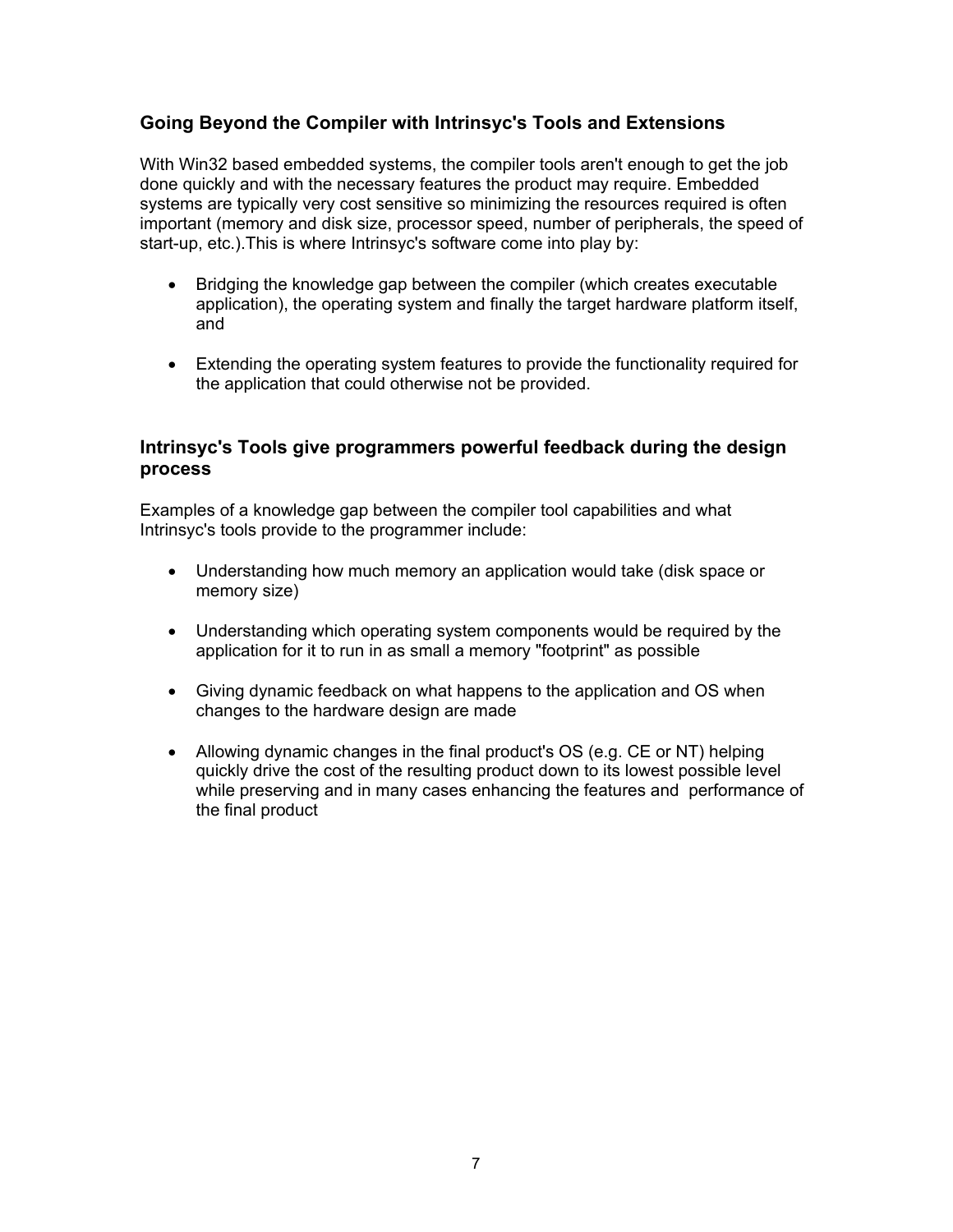# **Going Beyond the Compiler with Intrinsyc's Tools and Extensions**

With Win32 based embedded systems, the compiler tools aren't enough to get the job done quickly and with the necessary features the product may require. Embedded systems are typically very cost sensitive so minimizing the resources required is often important (memory and disk size, processor speed, number of peripherals, the speed of start-up, etc.).This is where Intrinsyc's software come into play by:

- Bridging the knowledge gap between the compiler (which creates executable application), the operating system and finally the target hardware platform itself, and
- Extending the operating system features to provide the functionality required for the application that could otherwise not be provided.

#### **Intrinsyc's Tools give programmers powerful feedback during the design process**

Examples of a knowledge gap between the compiler tool capabilities and what Intrinsyc's tools provide to the programmer include:

- Understanding how much memory an application would take (disk space or memory size)
- Understanding which operating system components would be required by the application for it to run in as small a memory "footprint" as possible
- Giving dynamic feedback on what happens to the application and OS when changes to the hardware design are made
- Allowing dynamic changes in the final product's OS (e.g. CE or NT) helping quickly drive the cost of the resulting product down to its lowest possible level while preserving and in many cases enhancing the features and performance of the final product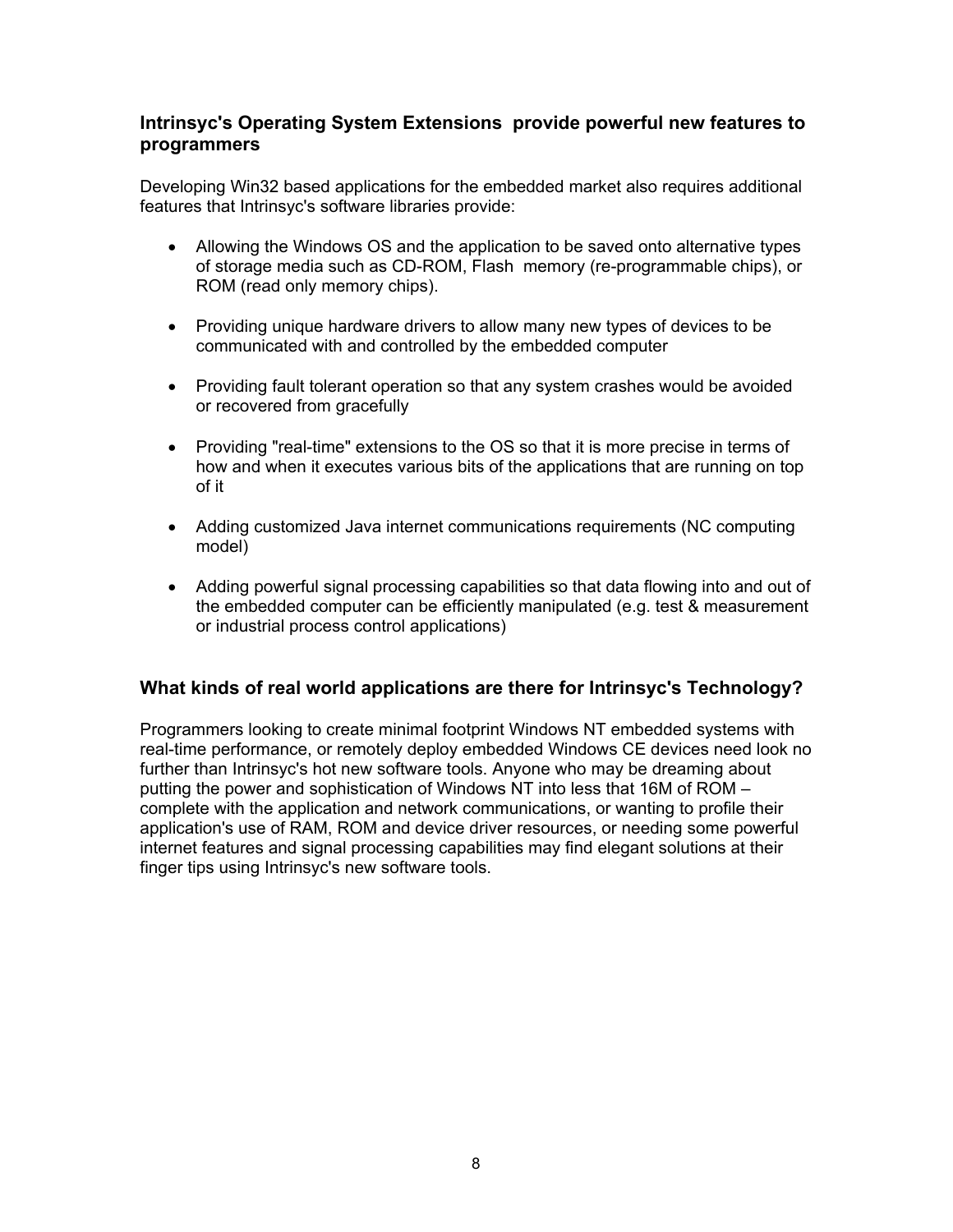# **Intrinsyc's Operating System Extensions provide powerful new features to programmers**

Developing Win32 based applications for the embedded market also requires additional features that Intrinsyc's software libraries provide:

- Allowing the Windows OS and the application to be saved onto alternative types of storage media such as CD-ROM, Flash memory (re-programmable chips), or ROM (read only memory chips).
- Providing unique hardware drivers to allow many new types of devices to be communicated with and controlled by the embedded computer
- Providing fault tolerant operation so that any system crashes would be avoided or recovered from gracefully
- Providing "real-time" extensions to the OS so that it is more precise in terms of how and when it executes various bits of the applications that are running on top of it
- Adding customized Java internet communications requirements (NC computing model)
- Adding powerful signal processing capabilities so that data flowing into and out of the embedded computer can be efficiently manipulated (e.g. test & measurement or industrial process control applications)

# **What kinds of real world applications are there for Intrinsyc's Technology?**

Programmers looking to create minimal footprint Windows NT embedded systems with real-time performance, or remotely deploy embedded Windows CE devices need look no further than Intrinsyc's hot new software tools. Anyone who may be dreaming about putting the power and sophistication of Windows NT into less that 16M of ROM – complete with the application and network communications, or wanting to profile their application's use of RAM, ROM and device driver resources, or needing some powerful internet features and signal processing capabilities may find elegant solutions at their finger tips using Intrinsyc's new software tools.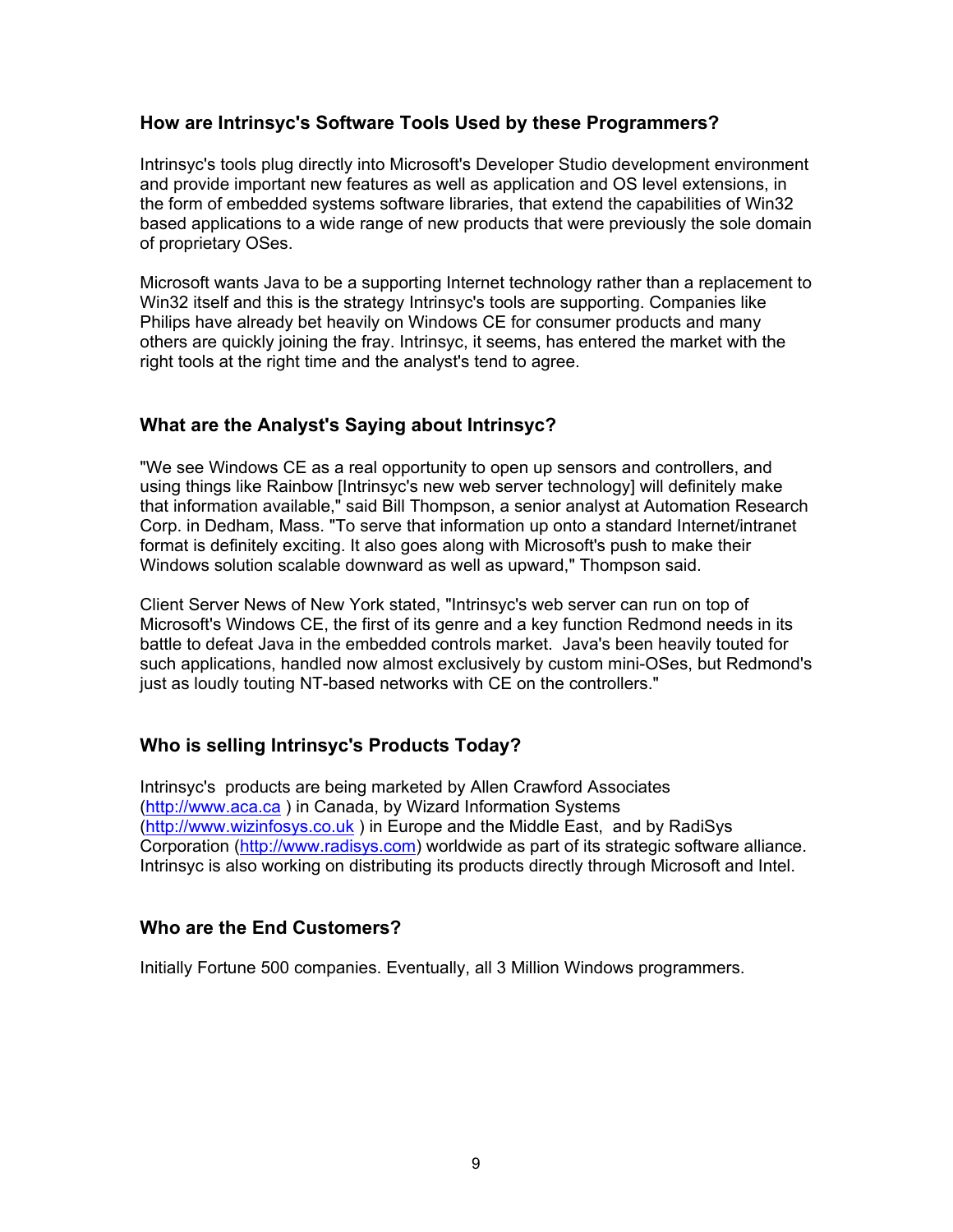#### **How are Intrinsyc's Software Tools Used by these Programmers?**

Intrinsyc's tools plug directly into Microsoft's Developer Studio development environment and provide important new features as well as application and OS level extensions, in the form of embedded systems software libraries, that extend the capabilities of Win32 based applications to a wide range of new products that were previously the sole domain of proprietary OSes.

Microsoft wants Java to be a supporting Internet technology rather than a replacement to Win32 itself and this is the strategy Intrinsyc's tools are supporting. Companies like Philips have already bet heavily on Windows CE for consumer products and many others are quickly joining the fray. Intrinsyc, it seems, has entered the market with the right tools at the right time and the analyst's tend to agree.

# **What are the Analyst's Saying about Intrinsyc?**

"We see Windows CE as a real opportunity to open up sensors and controllers, and using things like Rainbow [Intrinsyc's new web server technology] will definitely make that information available," said Bill Thompson, a senior analyst at Automation Research Corp. in Dedham, Mass. "To serve that information up onto a standard Internet/intranet format is definitely exciting. It also goes along with Microsoft's push to make their Windows solution scalable downward as well as upward," Thompson said.

Client Server News of New York stated, "Intrinsyc's web server can run on top of Microsoft's Windows CE, the first of its genre and a key function Redmond needs in its battle to defeat Java in the embedded controls market. Java's been heavily touted for such applications, handled now almost exclusively by custom mini-OSes, but Redmond's just as loudly touting NT-based networks with CE on the controllers."

# **Who is selling Intrinsyc's Products Today?**

Intrinsyc's products are being marketed by Allen Crawford Associates (http://www.aca.ca ) in Canada, by Wizard Information Systems (http://www.wizinfosys.co.uk ) in Europe and the Middle East, and by RadiSys Corporation (http://www.radisys.com) worldwide as part of its strategic software alliance. Intrinsyc is also working on distributing its products directly through Microsoft and Intel.

# **Who are the End Customers?**

Initially Fortune 500 companies. Eventually, all 3 Million Windows programmers.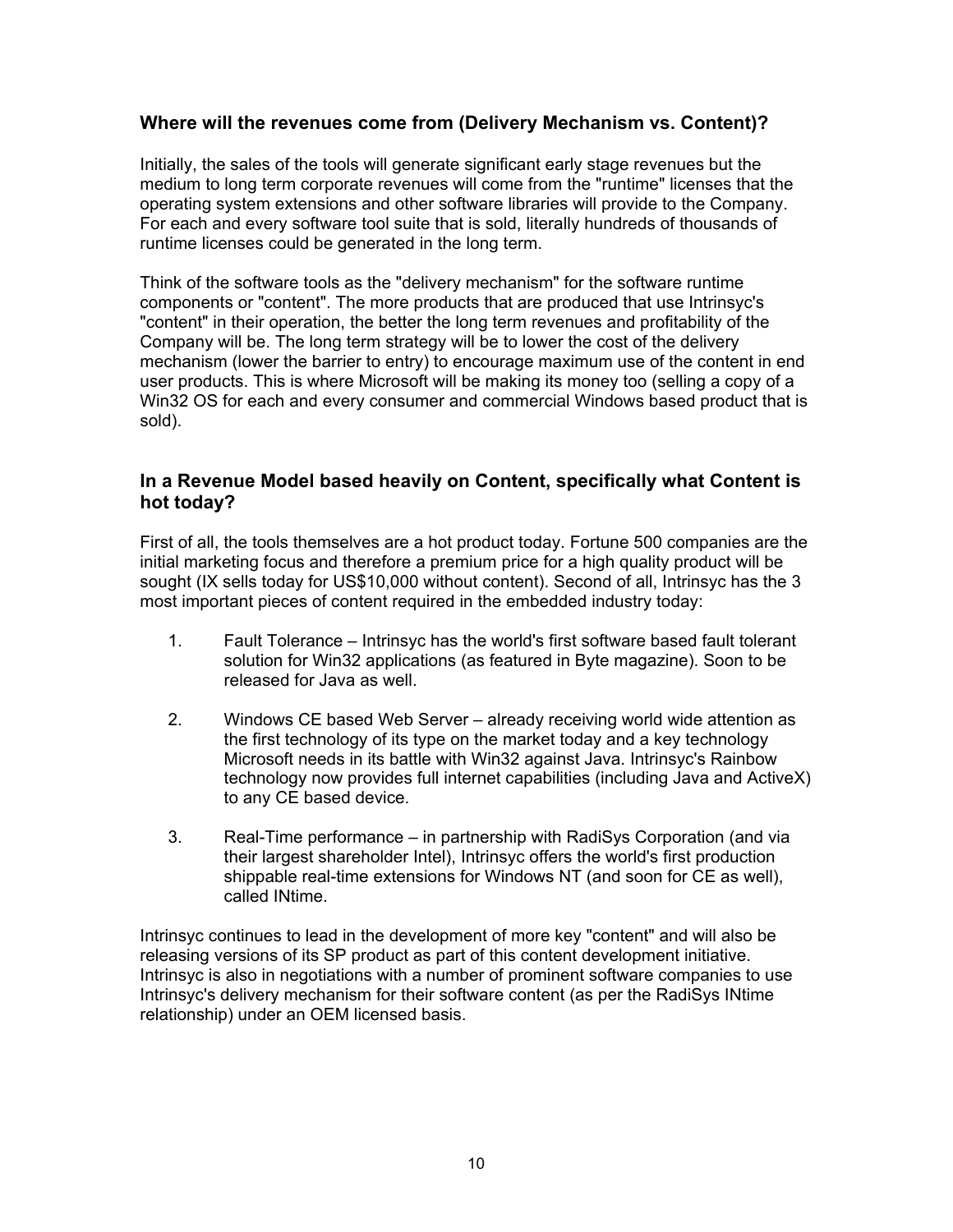# **Where will the revenues come from (Delivery Mechanism vs. Content)?**

Initially, the sales of the tools will generate significant early stage revenues but the medium to long term corporate revenues will come from the "runtime" licenses that the operating system extensions and other software libraries will provide to the Company. For each and every software tool suite that is sold, literally hundreds of thousands of runtime licenses could be generated in the long term.

Think of the software tools as the "delivery mechanism" for the software runtime components or "content". The more products that are produced that use Intrinsyc's "content" in their operation, the better the long term revenues and profitability of the Company will be. The long term strategy will be to lower the cost of the delivery mechanism (lower the barrier to entry) to encourage maximum use of the content in end user products. This is where Microsoft will be making its money too (selling a copy of a Win32 OS for each and every consumer and commercial Windows based product that is sold).

# **In a Revenue Model based heavily on Content, specifically what Content is hot today?**

First of all, the tools themselves are a hot product today. Fortune 500 companies are the initial marketing focus and therefore a premium price for a high quality product will be sought (IX sells today for US\$10,000 without content). Second of all, Intrinsyc has the 3 most important pieces of content required in the embedded industry today:

- 1. Fault Tolerance Intrinsyc has the world's first software based fault tolerant solution for Win32 applications (as featured in Byte magazine). Soon to be released for Java as well.
- 2. Windows CE based Web Server already receiving world wide attention as the first technology of its type on the market today and a key technology Microsoft needs in its battle with Win32 against Java. Intrinsyc's Rainbow technology now provides full internet capabilities (including Java and ActiveX) to any CE based device.
- 3. Real-Time performance in partnership with RadiSys Corporation (and via their largest shareholder Intel), Intrinsyc offers the world's first production shippable real-time extensions for Windows NT (and soon for CE as well), called INtime.

Intrinsyc continues to lead in the development of more key "content" and will also be releasing versions of its SP product as part of this content development initiative. Intrinsyc is also in negotiations with a number of prominent software companies to use Intrinsyc's delivery mechanism for their software content (as per the RadiSys INtime relationship) under an OEM licensed basis.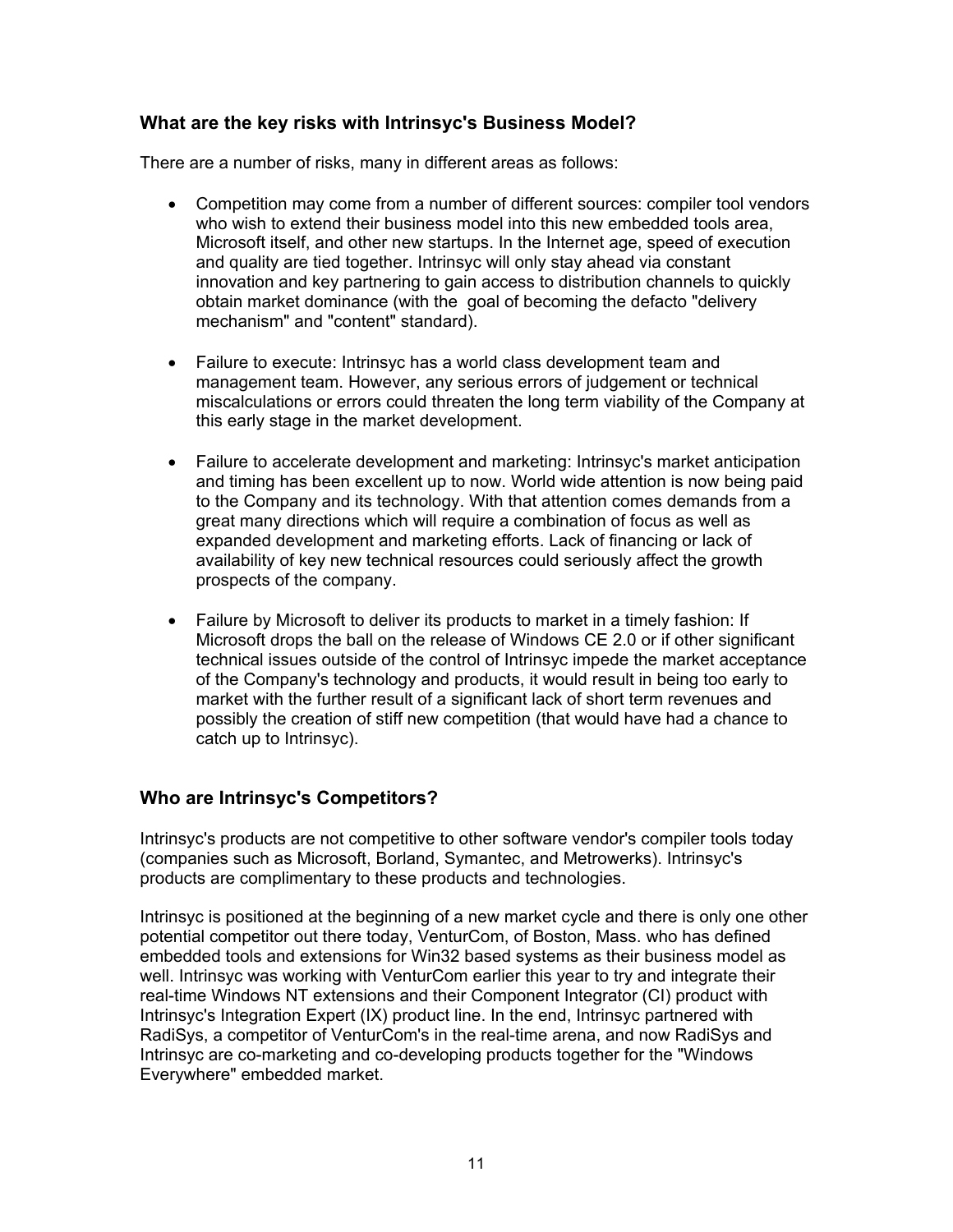# **What are the key risks with Intrinsyc's Business Model?**

There are a number of risks, many in different areas as follows:

- Competition may come from a number of different sources: compiler tool vendors who wish to extend their business model into this new embedded tools area, Microsoft itself, and other new startups. In the Internet age, speed of execution and quality are tied together. Intrinsyc will only stay ahead via constant innovation and key partnering to gain access to distribution channels to quickly obtain market dominance (with the goal of becoming the defacto "delivery mechanism" and "content" standard).
- Failure to execute: Intrinsyc has a world class development team and management team. However, any serious errors of judgement or technical miscalculations or errors could threaten the long term viability of the Company at this early stage in the market development.
- Failure to accelerate development and marketing: Intrinsyc's market anticipation and timing has been excellent up to now. World wide attention is now being paid to the Company and its technology. With that attention comes demands from a great many directions which will require a combination of focus as well as expanded development and marketing efforts. Lack of financing or lack of availability of key new technical resources could seriously affect the growth prospects of the company.
- Failure by Microsoft to deliver its products to market in a timely fashion: If Microsoft drops the ball on the release of Windows CE 2.0 or if other significant technical issues outside of the control of Intrinsyc impede the market acceptance of the Company's technology and products, it would result in being too early to market with the further result of a significant lack of short term revenues and possibly the creation of stiff new competition (that would have had a chance to catch up to Intrinsyc).

# **Who are Intrinsyc's Competitors?**

Intrinsyc's products are not competitive to other software vendor's compiler tools today (companies such as Microsoft, Borland, Symantec, and Metrowerks). Intrinsyc's products are complimentary to these products and technologies.

Intrinsyc is positioned at the beginning of a new market cycle and there is only one other potential competitor out there today, VenturCom, of Boston, Mass. who has defined embedded tools and extensions for Win32 based systems as their business model as well. Intrinsyc was working with VenturCom earlier this year to try and integrate their real-time Windows NT extensions and their Component Integrator (CI) product with Intrinsyc's Integration Expert (IX) product line. In the end, Intrinsyc partnered with RadiSys, a competitor of VenturCom's in the real-time arena, and now RadiSys and Intrinsyc are co-marketing and co-developing products together for the "Windows Everywhere" embedded market.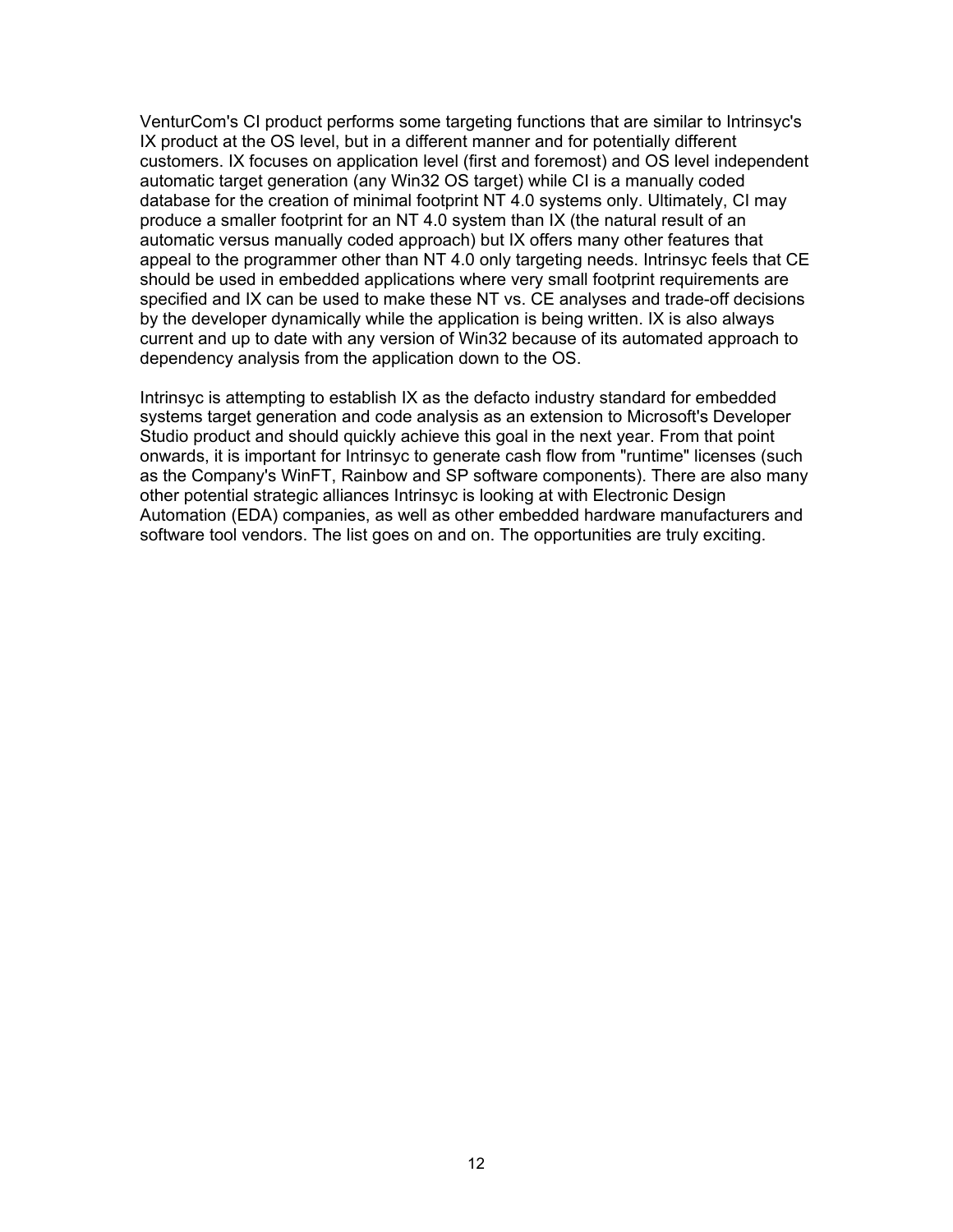VenturCom's CI product performs some targeting functions that are similar to Intrinsyc's IX product at the OS level, but in a different manner and for potentially different customers. IX focuses on application level (first and foremost) and OS level independent automatic target generation (any Win32 OS target) while CI is a manually coded database for the creation of minimal footprint NT 4.0 systems only. Ultimately, CI may produce a smaller footprint for an NT 4.0 system than IX (the natural result of an automatic versus manually coded approach) but IX offers many other features that appeal to the programmer other than NT 4.0 only targeting needs. Intrinsyc feels that CE should be used in embedded applications where very small footprint requirements are specified and IX can be used to make these NT vs. CE analyses and trade-off decisions by the developer dynamically while the application is being written. IX is also always current and up to date with any version of Win32 because of its automated approach to dependency analysis from the application down to the OS.

Intrinsyc is attempting to establish IX as the defacto industry standard for embedded systems target generation and code analysis as an extension to Microsoft's Developer Studio product and should quickly achieve this goal in the next year. From that point onwards, it is important for Intrinsyc to generate cash flow from "runtime" licenses (such as the Company's WinFT, Rainbow and SP software components). There are also many other potential strategic alliances Intrinsyc is looking at with Electronic Design Automation (EDA) companies, as well as other embedded hardware manufacturers and software tool vendors. The list goes on and on. The opportunities are truly exciting.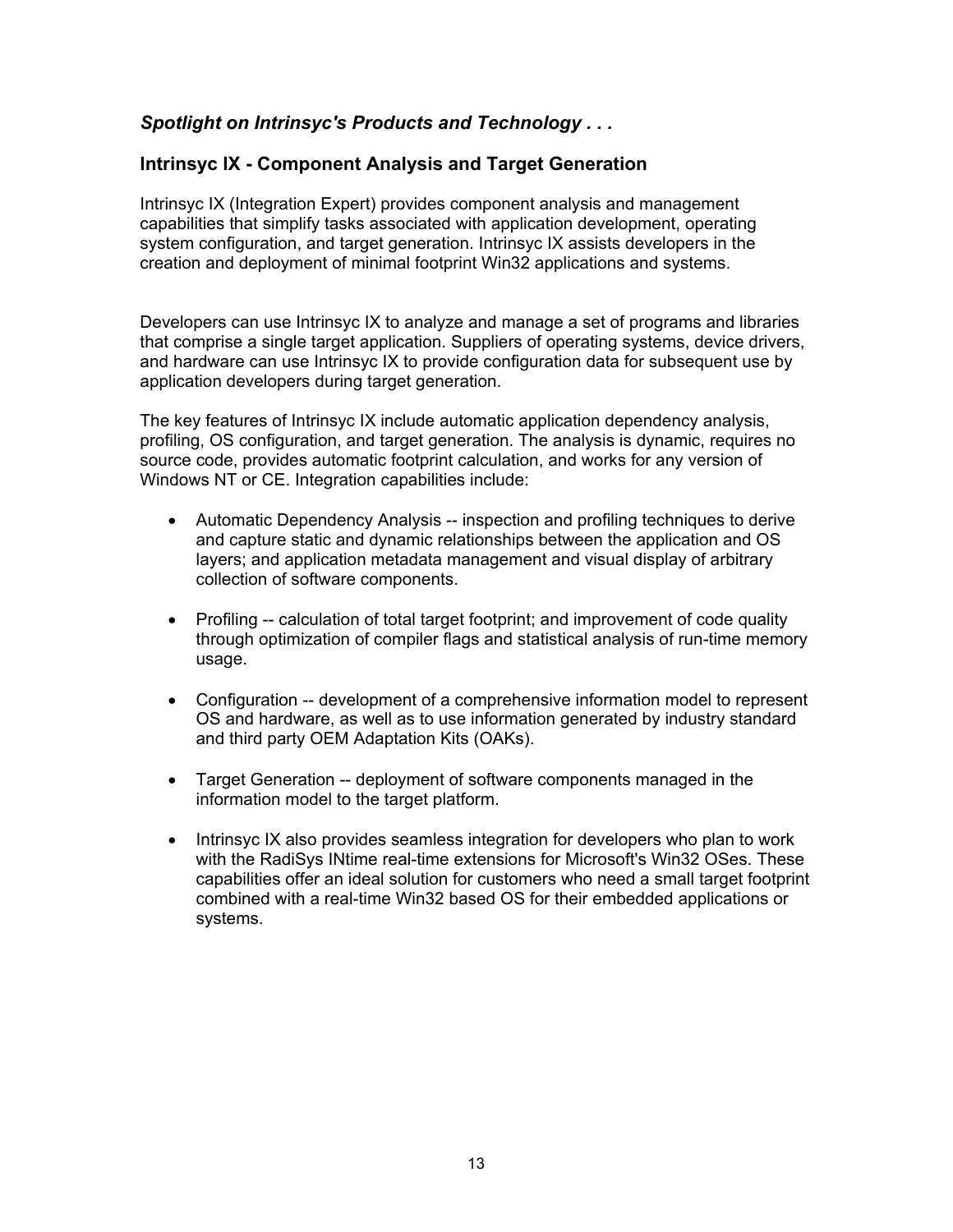# *Spotlight on Intrinsyc's Products and Technology . . .*

# **Intrinsyc IX - Component Analysis and Target Generation**

Intrinsyc IX (Integration Expert) provides component analysis and management capabilities that simplify tasks associated with application development, operating system configuration, and target generation. Intrinsyc IX assists developers in the creation and deployment of minimal footprint Win32 applications and systems.

Developers can use Intrinsyc IX to analyze and manage a set of programs and libraries that comprise a single target application. Suppliers of operating systems, device drivers, and hardware can use Intrinsyc IX to provide configuration data for subsequent use by application developers during target generation.

The key features of Intrinsyc IX include automatic application dependency analysis, profiling, OS configuration, and target generation. The analysis is dynamic, requires no source code, provides automatic footprint calculation, and works for any version of Windows NT or CE. Integration capabilities include:

- Automatic Dependency Analysis -- inspection and profiling techniques to derive and capture static and dynamic relationships between the application and OS layers; and application metadata management and visual display of arbitrary collection of software components.
- Profiling -- calculation of total target footprint; and improvement of code quality through optimization of compiler flags and statistical analysis of run-time memory usage.
- Configuration -- development of a comprehensive information model to represent OS and hardware, as well as to use information generated by industry standard and third party OEM Adaptation Kits (OAKs).
- Target Generation -- deployment of software components managed in the information model to the target platform.
- Intrinsyc IX also provides seamless integration for developers who plan to work with the RadiSys INtime real-time extensions for Microsoft's Win32 OSes. These capabilities offer an ideal solution for customers who need a small target footprint combined with a real-time Win32 based OS for their embedded applications or systems.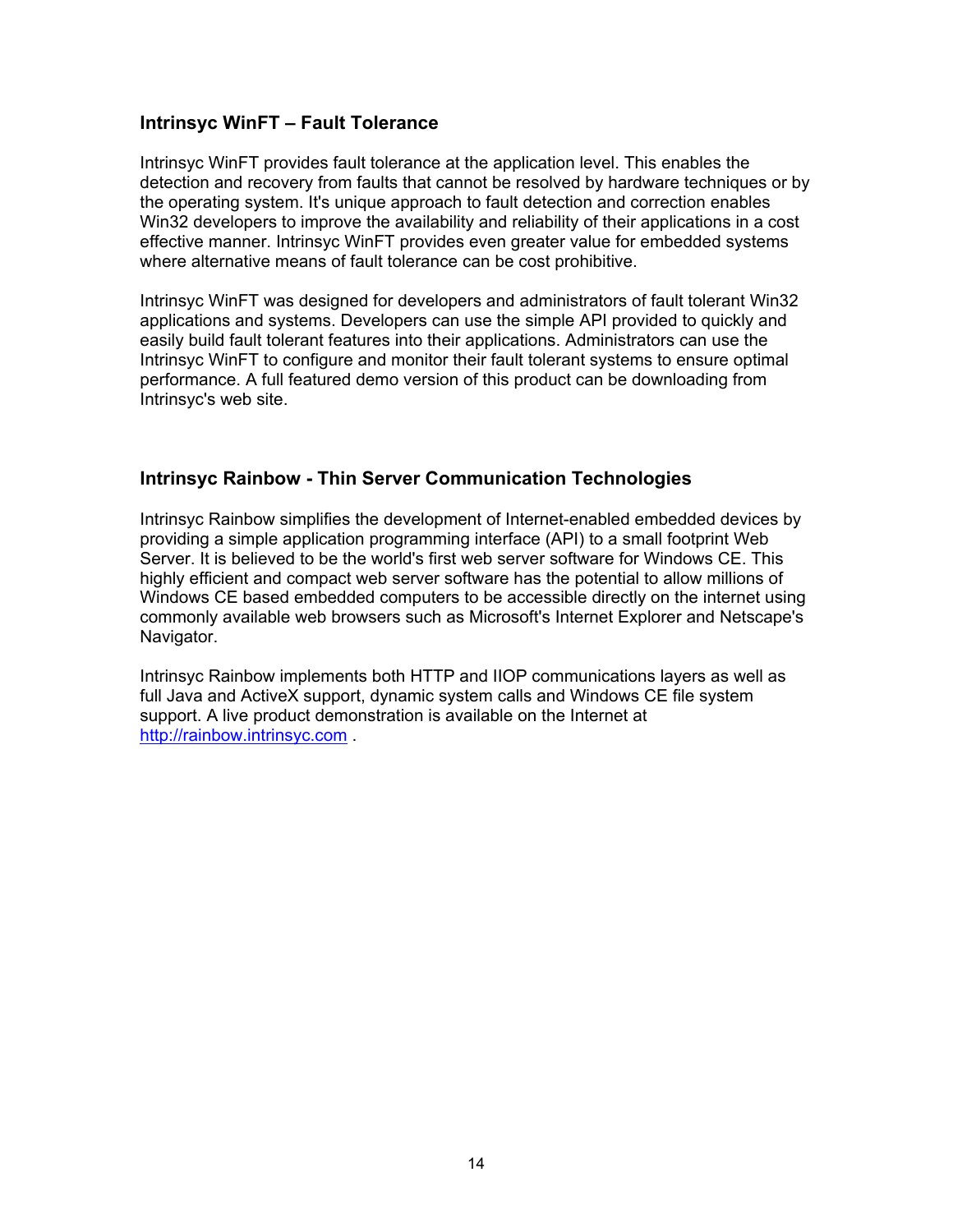#### **Intrinsyc WinFT – Fault Tolerance**

Intrinsyc WinFT provides fault tolerance at the application level. This enables the detection and recovery from faults that cannot be resolved by hardware techniques or by the operating system. It's unique approach to fault detection and correction enables Win32 developers to improve the availability and reliability of their applications in a cost effective manner. Intrinsyc WinFT provides even greater value for embedded systems where alternative means of fault tolerance can be cost prohibitive.

Intrinsyc WinFT was designed for developers and administrators of fault tolerant Win32 applications and systems. Developers can use the simple API provided to quickly and easily build fault tolerant features into their applications. Administrators can use the Intrinsyc WinFT to configure and monitor their fault tolerant systems to ensure optimal performance. A full featured demo version of this product can be downloading from Intrinsyc's web site.

#### **Intrinsyc Rainbow - Thin Server Communication Technologies**

Intrinsyc Rainbow simplifies the development of Internet-enabled embedded devices by providing a simple application programming interface (API) to a small footprint Web Server. It is believed to be the world's first web server software for Windows CE. This highly efficient and compact web server software has the potential to allow millions of Windows CE based embedded computers to be accessible directly on the internet using commonly available web browsers such as Microsoft's Internet Explorer and Netscape's Navigator.

Intrinsyc Rainbow implements both HTTP and IIOP communications layers as well as full Java and ActiveX support, dynamic system calls and Windows CE file system support. A live product demonstration is available on the Internet at http://rainbow.intrinsyc.com.